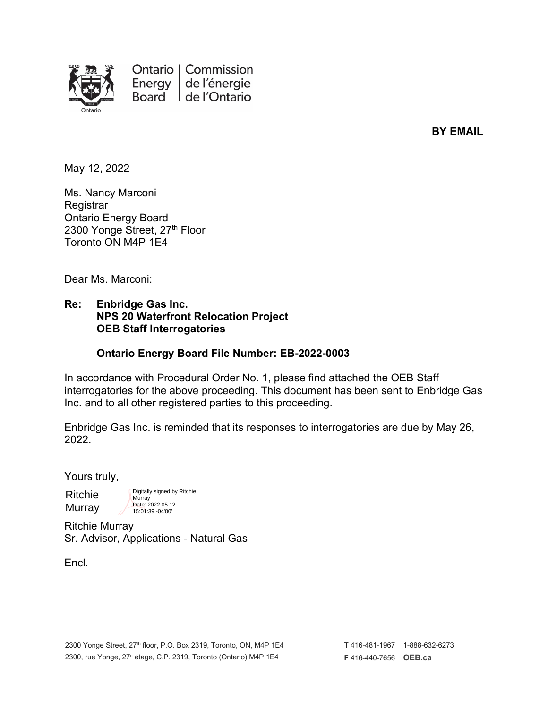

**BY EMAIL**

May 12, 2022

Ms. Nancy Marconi **Registrar** Ontario Energy Board 2300 Yonge Street, 27th Floor Toronto ON M4P 1E4

Dear Ms. Marconi:

#### **Re: Enbridge Gas Inc. NPS 20 Waterfront Relocation Project OEB Staff Interrogatories**

#### **Ontario Energy Board File Number: EB-2022-0003**

In accordance with Procedural Order No. 1, please find attached the OEB Staff interrogatories for the above proceeding. This document has been sent to Enbridge Gas Inc. and to all other registered parties to this proceeding.

Enbridge Gas Inc. is reminded that its responses to interrogatories are due by May 26, 2022.

Yours truly,

Ritchie Murray Digitally signed by Ritchie **Murray** Date: 2022.05.12 15:01:39 -04'00'

Ritchie Murray Sr. Advisor, Applications - Natural Gas

Encl.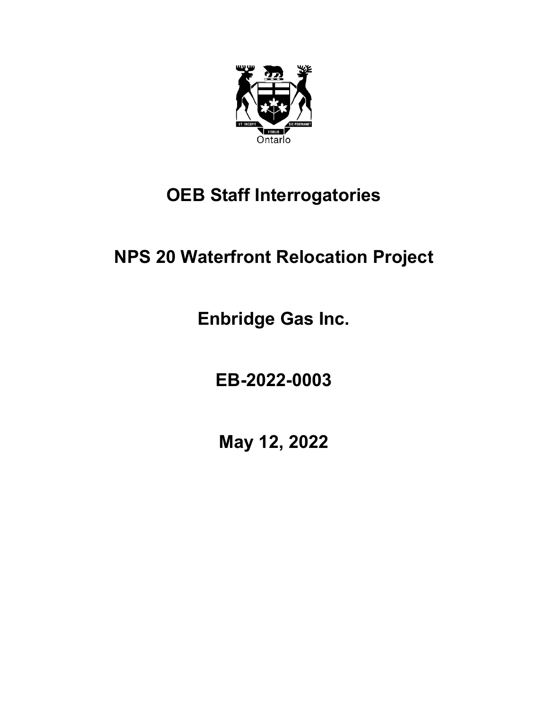

# **OEB Staff Interrogatories**

# **NPS 20 Waterfront Relocation Project**

**Enbridge Gas Inc.**

**EB-2022-0003**

**May 12, 2022**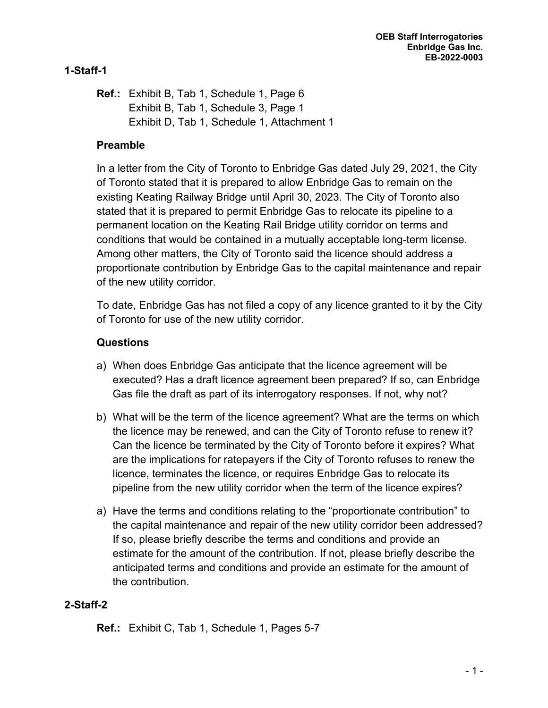# **1-Staff-1**

**Ref.:** Exhibit B, Tab 1, Schedule 1, Page 6 Exhibit B, Tab 1, Schedule 3, Page 1 Exhibit D, Tab 1, Schedule 1, Attachment 1

# **Preamble**

In a letter from the City of Toronto to Enbridge Gas dated July 29, 2021, the City of Toronto stated that it is prepared to allow Enbridge Gas to remain on the existing Keating Railway Bridge until April 30, 2023. The City of Toronto also stated that it is prepared to permit Enbridge Gas to relocate its pipeline to a permanent location on the Keating Rail Bridge utility corridor on terms and conditions that would be contained in a mutually acceptable long-term license. Among other matters, the City of Toronto said the licence should address a proportionate contribution by Enbridge Gas to the capital maintenance and repair of the new utility corridor.

To date, Enbridge Gas has not filed a copy of any licence granted to it by the City of Toronto for use of the new utility corridor.

# **Questions**

- a) When does Enbridge Gas anticipate that the licence agreement will be executed? Has a draft licence agreement been prepared? If so, can Enbridge Gas file the draft as part of its interrogatory responses. If not, why not?
- b) What will be the term of the licence agreement? What are the terms on which the licence may be renewed, and can the City of Toronto refuse to renew it? Can the licence be terminated by the City of Toronto before it expires? What are the implications for ratepayers if the City of Toronto refuses to renew the licence, terminates the licence, or requires Enbridge Gas to relocate its pipeline from the new utility corridor when the term of the licence expires?
- a) Have the terms and conditions relating to the "proportionate contribution" to the capital maintenance and repair of the new utility corridor been addressed? If so, please briefly describe the terms and conditions and provide an estimate for the amount of the contribution. If not, please briefly describe the anticipated terms and conditions and provide an estimate for the amount of the contribution.

## **2-Staff-2**

**Ref.:** Exhibit C, Tab 1, Schedule 1, Pages 5-7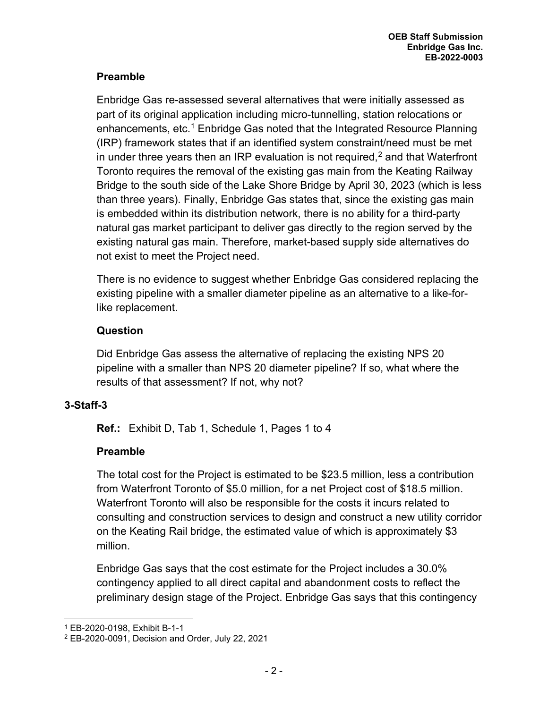# **Preamble**

Enbridge Gas re-assessed several alternatives that were initially assessed as part of its original application including micro-tunnelling, station relocations or enhancements, etc.<sup>[1](#page-3-0)</sup> Enbridge Gas noted that the Integrated Resource Planning (IRP) framework states that if an identified system constraint/need must be met in under three years then an IRP evaluation is not required, $^{\text{2}}$  $^{\text{2}}$  $^{\text{2}}$  and that Waterfront Toronto requires the removal of the existing gas main from the Keating Railway Bridge to the south side of the Lake Shore Bridge by April 30, 2023 (which is less than three years). Finally, Enbridge Gas states that, since the existing gas main is embedded within its distribution network, there is no ability for a third-party natural gas market participant to deliver gas directly to the region served by the existing natural gas main. Therefore, market-based supply side alternatives do not exist to meet the Project need.

There is no evidence to suggest whether Enbridge Gas considered replacing the existing pipeline with a smaller diameter pipeline as an alternative to a like-forlike replacement.

## **Question**

Did Enbridge Gas assess the alternative of replacing the existing NPS 20 pipeline with a smaller than NPS 20 diameter pipeline? If so, what where the results of that assessment? If not, why not?

## **3-Staff-3**

**Ref.:** Exhibit D, Tab 1, Schedule 1, Pages 1 to 4

## **Preamble**

The total cost for the Project is estimated to be \$23.5 million, less a contribution from Waterfront Toronto of \$5.0 million, for a net Project cost of \$18.5 million. Waterfront Toronto will also be responsible for the costs it incurs related to consulting and construction services to design and construct a new utility corridor on the Keating Rail bridge, the estimated value of which is approximately \$3 million.

Enbridge Gas says that the cost estimate for the Project includes a 30.0% contingency applied to all direct capital and abandonment costs to reflect the preliminary design stage of the Project. Enbridge Gas says that this contingency

<span id="page-3-0"></span><sup>1</sup> EB-2020-0198, Exhibit B-1-1

<span id="page-3-1"></span><sup>2</sup> EB-2020-0091, Decision and Order, July 22, 2021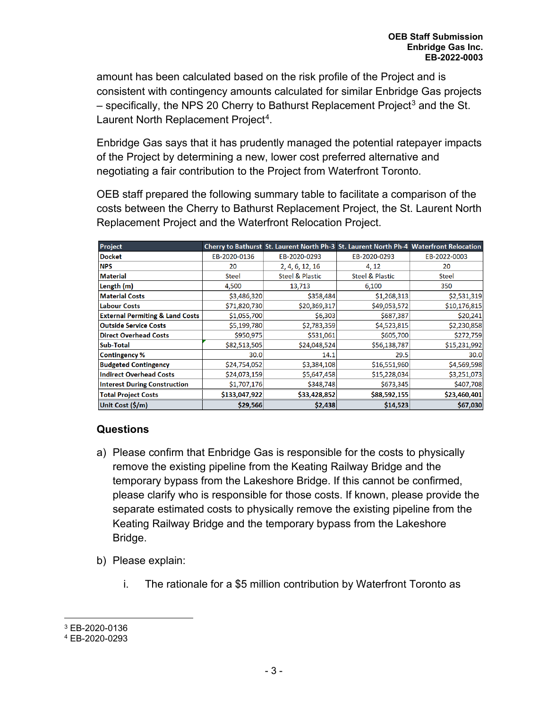amount has been calculated based on the risk profile of the Project and is consistent with contingency amounts calculated for similar Enbridge Gas projects  $-$  specifically, the NPS 20 Cherry to Bathurst Replacement Project<sup>[3](#page-4-0)</sup> and the St. Laurent North Replacement Project<sup>[4](#page-4-1)</sup>.

Enbridge Gas says that it has prudently managed the potential ratepayer impacts of the Project by determining a new, lower cost preferred alternative and negotiating a fair contribution to the Project from Waterfront Toronto.

OEB staff prepared the following summary table to facilitate a comparison of the costs between the Cherry to Bathurst Replacement Project, the St. Laurent North Replacement Project and the Waterfront Relocation Project.

| Project                                    |               |                            | Cherry to Bathurst St. Laurent North Ph-3 St. Laurent North Ph-4 Waterfront Relocation |              |
|--------------------------------------------|---------------|----------------------------|----------------------------------------------------------------------------------------|--------------|
| <b>Docket</b>                              | EB-2020-0136  | EB-2020-0293               | EB-2020-0293                                                                           | EB-2022-0003 |
| <b>NPS</b>                                 | 20            | 2, 4, 6, 12, 16            | 4, 12                                                                                  | 20           |
| <b>Material</b>                            | <b>Steel</b>  | <b>Steel &amp; Plastic</b> | <b>Steel &amp; Plastic</b>                                                             | <b>Steel</b> |
| Length (m)                                 | 4,500         | 13,713                     | 6,100                                                                                  | 350          |
| <b>Material Costs</b>                      | \$3,486,320   | \$358,484                  | \$1,268,313                                                                            | \$2,531,319  |
| Labour Costs                               | \$71,820,730  | \$20,369,317               | \$49,053,572                                                                           | \$10,176,815 |
| <b>External Permiting &amp; Land Costs</b> | \$1,055,700   | \$6,303                    | \$687,387                                                                              | \$20,241     |
| <b>Outside Service Costs</b>               | \$5,199,780   | \$2,783,359                | \$4,523,815                                                                            | \$2,230,858  |
| <b>Direct Overhead Costs</b>               | \$950,975     | \$531,061                  | \$605,700                                                                              | \$272,759    |
| <b>Sub-Total</b>                           | \$82,513,505  | \$24,048,524               | \$56,138,787                                                                           | \$15,231,992 |
| <b>Contingency %</b>                       | 30.0          | 14.1                       | 29.5                                                                                   | 30.0         |
| <b>Budgeted Contingency</b>                | \$24,754,052  | \$3,384,108                | \$16,551,960                                                                           | \$4,569,598  |
| <b>Indirect Overhead Costs</b>             | \$24,073,159  | \$5,647,458                | \$15,228,034                                                                           | \$3,251,073  |
| <b>Interest During Construction</b>        | \$1,707,176   | \$348,748                  | \$673,345                                                                              | \$407,708    |
| <b>Total Project Costs</b>                 | \$133,047,922 | \$33,428,852               | \$88,592,155                                                                           | \$23,460,401 |
| Unit Cost (\$/m)                           | \$29,566      | \$2,438                    | \$14,523                                                                               | \$67,030     |

## **Questions**

- a) Please confirm that Enbridge Gas is responsible for the costs to physically remove the existing pipeline from the Keating Railway Bridge and the temporary bypass from the Lakeshore Bridge. If this cannot be confirmed, please clarify who is responsible for those costs. If known, please provide the separate estimated costs to physically remove the existing pipeline from the Keating Railway Bridge and the temporary bypass from the Lakeshore Bridge.
- b) Please explain:
	- i. The rationale for a \$5 million contribution by Waterfront Toronto as

<span id="page-4-0"></span><sup>3</sup> EB-2020-0136

<span id="page-4-1"></span><sup>4</sup> EB-2020-0293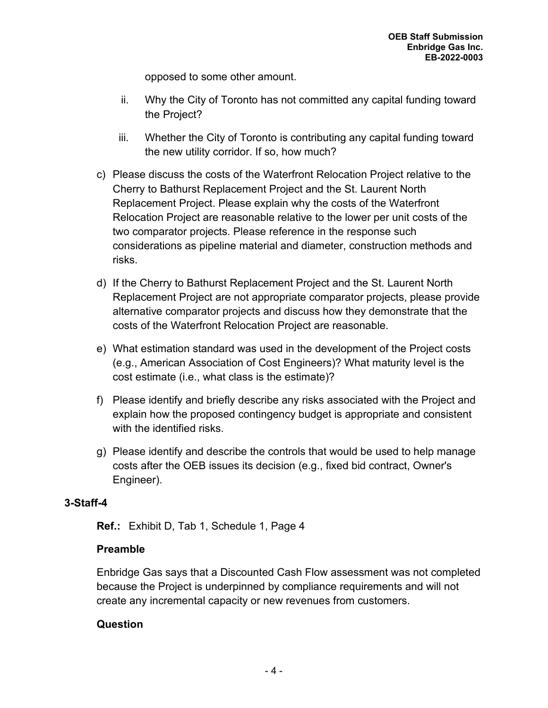opposed to some other amount.

- ii. Why the City of Toronto has not committed any capital funding toward the Project?
- iii. Whether the City of Toronto is contributing any capital funding toward the new utility corridor. If so, how much?
- c) Please discuss the costs of the Waterfront Relocation Project relative to the Cherry to Bathurst Replacement Project and the St. Laurent North Replacement Project. Please explain why the costs of the Waterfront Relocation Project are reasonable relative to the lower per unit costs of the two comparator projects. Please reference in the response such considerations as pipeline material and diameter, construction methods and risks.
- d) If the Cherry to Bathurst Replacement Project and the St. Laurent North Replacement Project are not appropriate comparator projects, please provide alternative comparator projects and discuss how they demonstrate that the costs of the Waterfront Relocation Project are reasonable.
- e) What estimation standard was used in the development of the Project costs (e.g., American Association of Cost Engineers)? What maturity level is the cost estimate (i.e., what class is the estimate)?
- f) Please identify and briefly describe any risks associated with the Project and explain how the proposed contingency budget is appropriate and consistent with the identified risks.
- g) Please identify and describe the controls that would be used to help manage costs after the OEB issues its decision (e.g., fixed bid contract, Owner's Engineer).

## **3-Staff-4**

**Ref.:** Exhibit D, Tab 1, Schedule 1, Page 4

## **Preamble**

Enbridge Gas says that a Discounted Cash Flow assessment was not completed because the Project is underpinned by compliance requirements and will not create any incremental capacity or new revenues from customers.

#### **Question**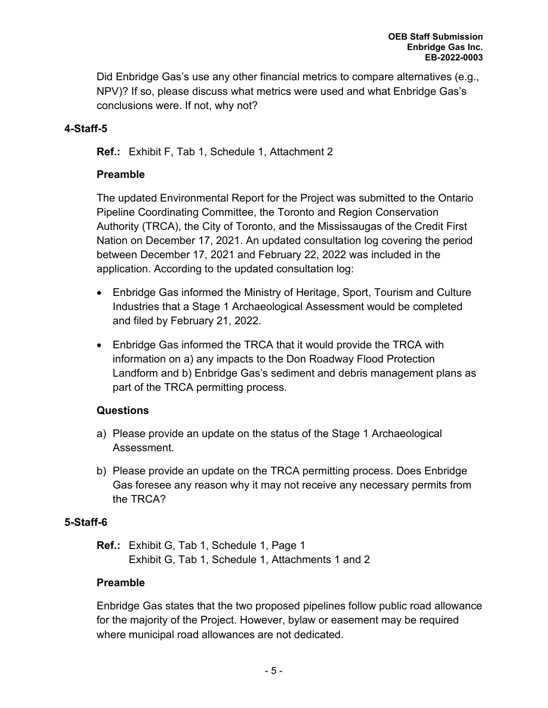Did Enbridge Gas's use any other financial metrics to compare alternatives (e.g., NPV)? If so, please discuss what metrics were used and what Enbridge Gas's conclusions were. If not, why not?

## **4-Staff-5**

**Ref.:** Exhibit F, Tab 1, Schedule 1, Attachment 2

## **Preamble**

The updated Environmental Report for the Project was submitted to the Ontario Pipeline Coordinating Committee, the Toronto and Region Conservation Authority (TRCA), the City of Toronto, and the Mississaugas of the Credit First Nation on December 17, 2021. An updated consultation log covering the period between December 17, 2021 and February 22, 2022 was included in the application. According to the updated consultation log:

- Enbridge Gas informed the Ministry of Heritage, Sport, Tourism and Culture Industries that a Stage 1 Archaeological Assessment would be completed and filed by February 21, 2022.
- Enbridge Gas informed the TRCA that it would provide the TRCA with information on a) any impacts to the Don Roadway Flood Protection Landform and b) Enbridge Gas's sediment and debris management plans as part of the TRCA permitting process.

## **Questions**

- a) Please provide an update on the status of the Stage 1 Archaeological Assessment.
- b) Please provide an update on the TRCA permitting process. Does Enbridge Gas foresee any reason why it may not receive any necessary permits from the TRCA?

#### **5-Staff-6**

**Ref.:** Exhibit G, Tab 1, Schedule 1, Page 1 Exhibit G, Tab 1, Schedule 1, Attachments 1 and 2

## **Preamble**

Enbridge Gas states that the two proposed pipelines follow public road allowance for the majority of the Project. However, bylaw or easement may be required where municipal road allowances are not dedicated.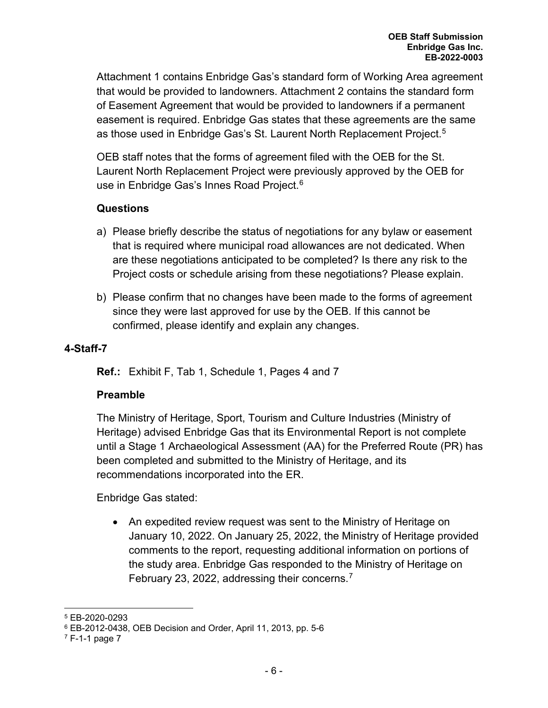Attachment 1 contains Enbridge Gas's standard form of Working Area agreement that would be provided to landowners. Attachment 2 contains the standard form of Easement Agreement that would be provided to landowners if a permanent easement is required. Enbridge Gas states that these agreements are the same as those used in Enbridge Gas's St. Laurent North Replacement Project. [5](#page-7-0)

OEB staff notes that the forms of agreement filed with the OEB for the St. Laurent North Replacement Project were previously approved by the OEB for use in Enbridge Gas's Innes Road Project.<sup>[6](#page-7-1)</sup>

## **Questions**

- a) Please briefly describe the status of negotiations for any bylaw or easement that is required where municipal road allowances are not dedicated. When are these negotiations anticipated to be completed? Is there any risk to the Project costs or schedule arising from these negotiations? Please explain.
- b) Please confirm that no changes have been made to the forms of agreement since they were last approved for use by the OEB. If this cannot be confirmed, please identify and explain any changes.

## **4-Staff-7**

**Ref.:** Exhibit F, Tab 1, Schedule 1, Pages 4 and 7

## **Preamble**

The Ministry of Heritage, Sport, Tourism and Culture Industries (Ministry of Heritage) advised Enbridge Gas that its Environmental Report is not complete until a Stage 1 Archaeological Assessment (AA) for the Preferred Route (PR) has been completed and submitted to the Ministry of Heritage, and its recommendations incorporated into the ER.

Enbridge Gas stated:

• An expedited review request was sent to the Ministry of Heritage on January 10, 2022. On January 25, 2022, the Ministry of Heritage provided comments to the report, requesting additional information on portions of the study area. Enbridge Gas responded to the Ministry of Heritage on February 23, 2022, addressing their concerns.<sup>[7](#page-7-2)</sup>

<span id="page-7-0"></span><sup>5</sup> EB-2020-0293

<span id="page-7-1"></span><sup>6</sup> EB-2012-0438, OEB Decision and Order, April 11, 2013, pp. 5-6

<span id="page-7-2"></span> $7$  F-1-1 page 7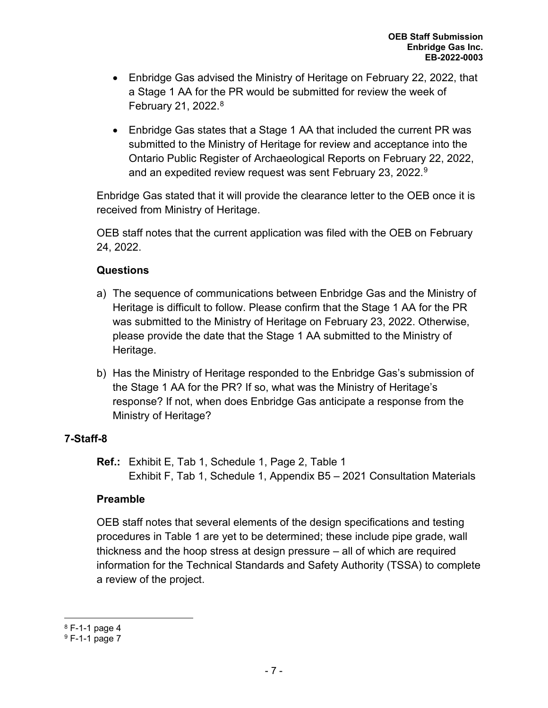- Enbridge Gas advised the Ministry of Heritage on February 22, 2022, that a Stage 1 AA for the PR would be submitted for review the week of February 21, 2022. [8](#page-8-0)
- Enbridge Gas states that a Stage 1 AA that included the current PR was submitted to the Ministry of Heritage for review and acceptance into the Ontario Public Register of Archaeological Reports on February 22, 2022, and an expedited review request was sent February 23, 2022.<sup>[9](#page-8-1)</sup>

Enbridge Gas stated that it will provide the clearance letter to the OEB once it is received from Ministry of Heritage.

OEB staff notes that the current application was filed with the OEB on February 24, 2022.

## **Questions**

- a) The sequence of communications between Enbridge Gas and the Ministry of Heritage is difficult to follow. Please confirm that the Stage 1 AA for the PR was submitted to the Ministry of Heritage on February 23, 2022. Otherwise, please provide the date that the Stage 1 AA submitted to the Ministry of Heritage.
- b) Has the Ministry of Heritage responded to the Enbridge Gas's submission of the Stage 1 AA for the PR? If so, what was the Ministry of Heritage's response? If not, when does Enbridge Gas anticipate a response from the Ministry of Heritage?

# **7-Staff-8**

**Ref.:** Exhibit E, Tab 1, Schedule 1, Page 2, Table 1 Exhibit F, Tab 1, Schedule 1, Appendix B5 – 2021 Consultation Materials

## **Preamble**

OEB staff notes that several elements of the design specifications and testing procedures in Table 1 are yet to be determined; these include pipe grade, wall thickness and the hoop stress at design pressure – all of which are required information for the Technical Standards and Safety Authority (TSSA) to complete a review of the project.

<span id="page-8-0"></span><sup>8</sup> F-1-1 page 4

<span id="page-8-1"></span><sup>9</sup> F-1-1 page 7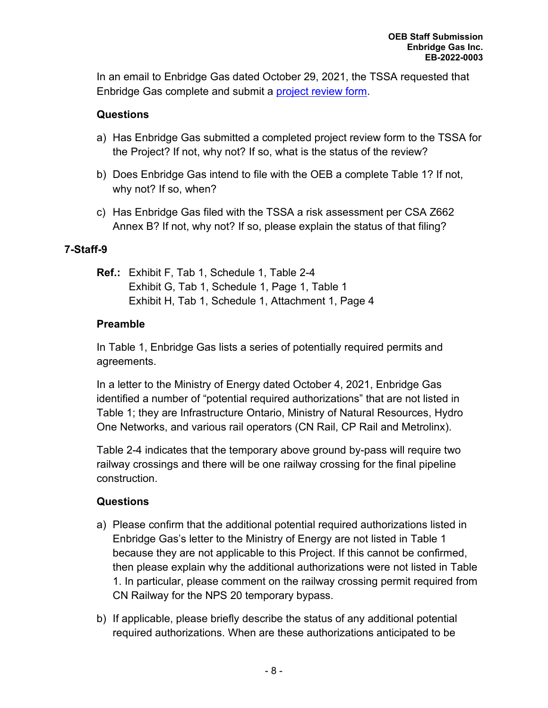In an email to Enbridge Gas dated October 29, 2021, the TSSA requested that Enbridge Gas complete and submit a [project review form.](https://www.tssa.org/en/about-tssa/resources/Documents/Application-for-review-of-Pipeline-Project--April-2021.pdf)

## **Questions**

- a) Has Enbridge Gas submitted a completed project review form to the TSSA for the Project? If not, why not? If so, what is the status of the review?
- b) Does Enbridge Gas intend to file with the OEB a complete Table 1? If not, why not? If so, when?
- c) Has Enbridge Gas filed with the TSSA a risk assessment per CSA Z662 Annex B? If not, why not? If so, please explain the status of that filing?

## **7-Staff-9**

**Ref.:** Exhibit F, Tab 1, Schedule 1, Table 2-4 Exhibit G, Tab 1, Schedule 1, Page 1, Table 1 Exhibit H, Tab 1, Schedule 1, Attachment 1, Page 4

## **Preamble**

In Table 1, Enbridge Gas lists a series of potentially required permits and agreements.

In a letter to the Ministry of Energy dated October 4, 2021, Enbridge Gas identified a number of "potential required authorizations" that are not listed in Table 1; they are Infrastructure Ontario, Ministry of Natural Resources, Hydro One Networks, and various rail operators (CN Rail, CP Rail and Metrolinx).

Table 2-4 indicates that the temporary above ground by-pass will require two railway crossings and there will be one railway crossing for the final pipeline construction.

## **Questions**

- a) Please confirm that the additional potential required authorizations listed in Enbridge Gas's letter to the Ministry of Energy are not listed in Table 1 because they are not applicable to this Project. If this cannot be confirmed, then please explain why the additional authorizations were not listed in Table 1. In particular, please comment on the railway crossing permit required from CN Railway for the NPS 20 temporary bypass.
- b) If applicable, please briefly describe the status of any additional potential required authorizations. When are these authorizations anticipated to be